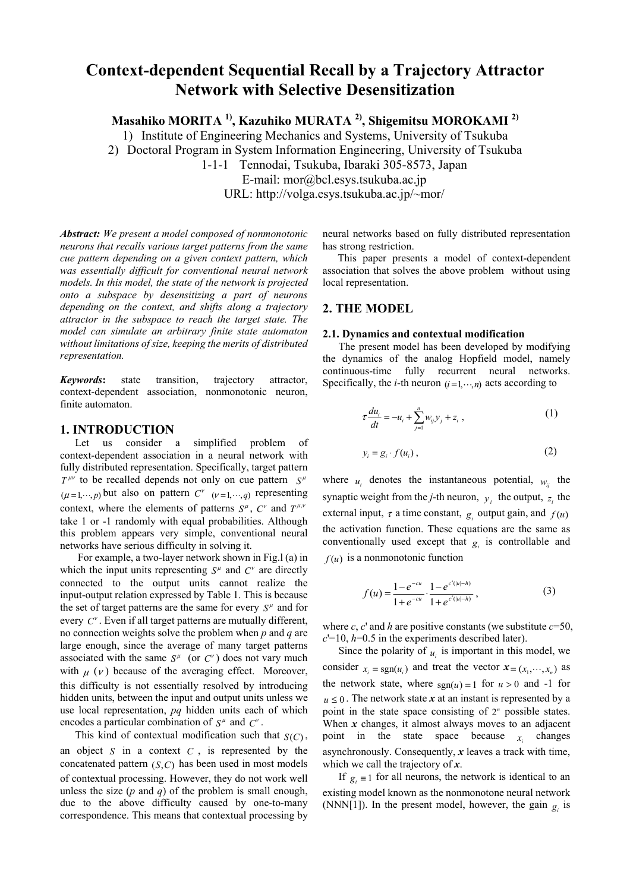# **Context-dependent Sequential Recall by a Trajectory Attractor Network with Selective Desensitization**

**Masahiko MORITA 1), Kazuhiko MURATA 2), Shigemitsu MOROKAMI 2)**

1) Institute of Engineering Mechanics and Systems, University of Tsukuba

2) Doctoral Program in System Information Engineering, University of Tsukuba

1-1-1 Tennodai, Tsukuba, Ibaraki 305-8573, Japan

E-mail: mor@bcl.esys.tsukuba.ac.jp

URL: http://volga.esys.tsukuba.ac.jp/~mor/

*Abstract: We present a model composed of nonmonotonic neurons that recalls various target patterns from the same cue pattern depending on a given context pattern, which was essentially difficult for conventional neural network models. In this model, the state of the network is projected onto a subspace by desensitizing a part of neurons depending on the context, and shifts along a trajectory attractor in the subspace to reach the target state. The model can simulate an arbitrary finite state automaton without limitations of size, keeping the merits of distributed representation.*

*Keywords***:** state transition, trajectory attractor, context-dependent association, nonmonotonic neuron, finite automaton.

# **1. INTRODUCTION**

Let us consider a simplified problem of context-dependent association in a neural network with fully distributed representation. Specifically, target pattern  $T^{\mu\nu}$  to be recalled depends not only on cue pattern  $S^{\mu}$  $(\mu = 1, \dots, p)$  but also on pattern  $C^{\nu}$  ( $\nu = 1, \dots, q$ ) representing context, where the elements of patterns  $S^{\mu}$ ,  $C^{\nu}$  and  $T^{\mu,\nu}$ take 1 or -1 randomly with equal probabilities. Although this problem appears very simple, conventional neural networks have serious difficulty in solving it.

For example, a two-layer network shown in Fig.l (a) in which the input units representing  $S^{\mu}$  and  $C^{\nu}$  are directly connected to the output units cannot realize the input-output relation expressed by Table 1. This is because the set of target patterns are the same for every  $S^{\mu}$  and for every  $C^v$ . Even if all target patterns are mutually different, no connection weights solve the problem when *p* and *q* are large enough, since the average of many target patterns associated with the same  $S^{\mu}$  (or  $C^{\nu}$ ) does not vary much with  $\mu$  ( $\nu$ ) because of the averaging effect. Moreover, this difficulty is not essentially resolved by introducing hidden units, between the input and output units unless we use local representation, *pq* hidden units each of which encodes a particular combination of  $S^{\mu}$  and  $C^{\nu}$ .

This kind of contextual modification such that  $S(C)$ , an object  $S$  in a context  $C$ , is represented by the concatenated pattern  $(S, C)$  has been used in most models of contextual processing. However, they do not work well unless the size (*p* and *q*) of the problem is small enough, due to the above difficulty caused by one-to-many correspondence. This means that contextual processing by

neural networks based on fully distributed representation has strong restriction.

This paper presents a model of context-dependent association that solves the above problem without using local representation.

# **2. THE MODEL**

#### **2.1. Dynamics and contextual modification**

The present model has been developed by modifying the dynamics of the analog Hopfield model, namely continuous-time fully recurrent neural networks. Specifically, the *i*-th neuron  $(i=1,\dots,n)$  acts according to

$$
\tau \frac{du_i}{dt} = -u_i + \sum_{j=1}^n w_{ij} y_j + z_i , \qquad (1)
$$

$$
y_i = g_i \cdot f(u_i) \,, \tag{2}
$$

where  $u_i$  denotes the instantaneous potential,  $w_{ij}$  the synaptic weight from the *j*-th neuron,  $y_i$  the output,  $z_i$  the external input,  $\tau$  a time constant,  $g_i$  output gain, and  $f(u)$ the activation function. These equations are the same as conventionally used except that  $g_i$  is controllable and  $f(u)$  is a nonmonotonic function

$$
f(u) = \frac{1 - e^{-cu}}{1 + e^{-cu}} \cdot \frac{1 - e^{c'(|u| - h)}}{1 + e^{c'(|u| - h)}},
$$
\n(3)

where *c*, *c*' and *h* are positive constants (we substitute  $c=50$ ,  $c'=10$ ,  $h=0.5$  in the experiments described later).

Since the polarity of  $u_i$  is important in this model, we consider  $x_i = \text{sgn}(u_i)$  and treat the vector  $\mathbf{x} = (x_1, \dots, x_n)$  as the network state, where  $sgn(u) = 1$  for  $u > 0$  and -1 for  $u \leq 0$ . The network state x at an instant is represented by a point in the state space consisting of  $2<sup>n</sup>$  possible states. When *x* changes, it almost always moves to an adjacent point in the state space because  $x_i$  changes asynchronously. Consequently, *x* leaves a track with time, which we call the trajectory of *x*.

If  $g_i \equiv 1$  for all neurons, the network is identical to an existing model known as the nonmonotone neural network (NNN[1]). In the present model, however, the gain  $g_i$  is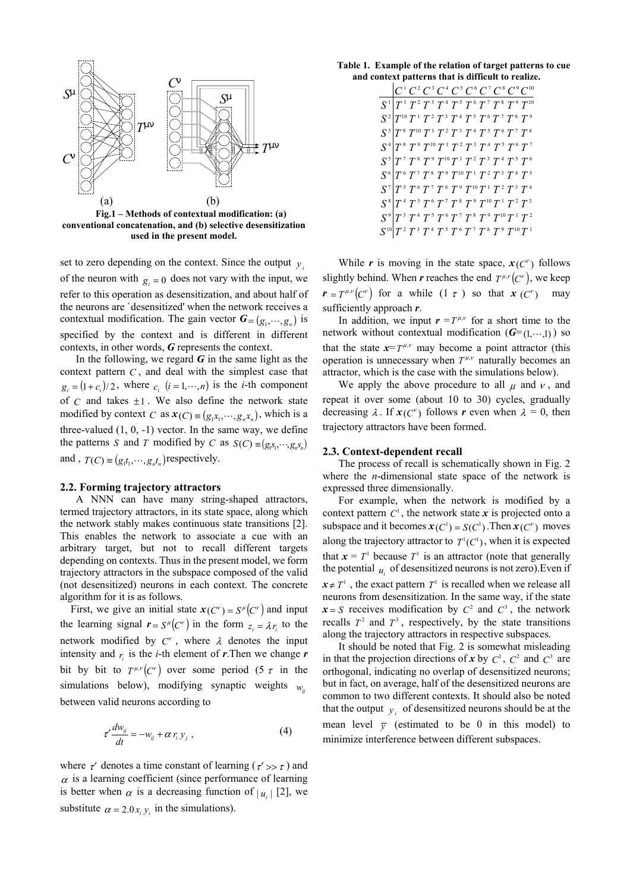

**conventional concatenation, and (b) selective desensitization used in the present model.** 

of the neuron with  $g_i = 0$  does not vary with the input, we contextual modification. The gain vector  $G = (g_1, \dots, g_n)$  is set to zero depending on the context. Since the output  $y_i$ refer to this operation as desensitization, and about half of the neurons are `desensitized' when the network receives a specified by the context and is different in different contexts, in other words, *G* represents the context.

 $g_i = (1 + c_i)/2$ , where  $c_i$   $(i = 1, \dots, n)$  is the *i*-th component of  $C$  and takes  $\pm 1$ . We also define the network state modified by context *C* as  $\mathbf{x}(C) \equiv (g_1 x_1, \dots, g_n x_n)$ , which is a the patterns *S* and *T* modified by *C* as  $S(C) \equiv (g_1 s_1, \dots, g_n s_n)$ and ,  $T(C) \equiv (g_1 t_1, \dots, g_n t_n)$  respectively. In the following, we regard  $G$  in the same light as the context pattern *C* , and deal with the simplest case that three-valued  $(1, 0, -1)$  vector. In the same way, we define

### **2.2. Forming trajectory attractors**

A NNN can have many string-shaped attractors, termed trajectory attractors, in its state space, along which the network stably makes continuous state transitions [2]. This enables the network to associate a cue with an arbitrary target, but not to recall different targets depending on contexts. Thus in the present model, we form trajectory attractors in the subspace composed of the valid (not desensitized) neurons in each context. The concrete algorithm for it is as follows.

First, we give an initial state  $x(C^v) = S^{\mu}(C^v)$  and input the learning signal  $\mathbf{r} = S^{\mu}(C^{\nu})$  in the form  $z_i = \lambda r_i$  to the network modified by  $C^v$ , where  $\lambda$  denotes the input intensity and  $r_i$  is the *i*-th element of *r*. Then we change *r* bit by bit to  $T^{\mu,\nu}(C^{\nu})$  over some period (5  $\tau$  in the simulations below), modifying synaptic weights  $w_{ij}$ between valid neurons according to

$$
\tau' \frac{dw_{ij}}{dt} = -w_{ij} + \alpha r_i y_j , \qquad (4)
$$

where  $\tau'$  denotes a time constant of learning ( $\tau' \gg \tau$ ) and  $\alpha$  is a learning coefficient (since performance of learning is better when  $\alpha$  is a decreasing function of  $|u_i|$  [2], we substitute  $\alpha = 2.0 x_i y_i$  in the simulations).

**Table 1. Example of the relation of target patterns to cue and context patterns that is difficult to realize.** 

|                                                                                                                                                                                                                                                                                                                                                                                                                                      |  |  |  |  | $ C^1 C^2 C^3 C^4 C^5 C^6 C^7 C^8 C^9 C^{10}$ |
|--------------------------------------------------------------------------------------------------------------------------------------------------------------------------------------------------------------------------------------------------------------------------------------------------------------------------------------------------------------------------------------------------------------------------------------|--|--|--|--|-----------------------------------------------|
| $S^1$ $T^1$ $T^2$ $T^3$ $T^4$ $T^5$ $T^6$ $T^7$ $T^8$ $T^9$ $T^{10}$                                                                                                                                                                                                                                                                                                                                                                 |  |  |  |  |                                               |
| $S^2\begin{bmatrix} T^{-1} & T^{-1} & T^{-1} & T^{-1} & T^{-1} & T^{-1} \ T^0 & T^{-1} & T^{-2} & T^{-3} & T^{-4} & T^{-5} & T^{-6} & T^{-7} & T^{-8} \ \end{bmatrix}$                                                                                                                                                                                                                                                               |  |  |  |  |                                               |
|                                                                                                                                                                                                                                                                                                                                                                                                                                      |  |  |  |  |                                               |
|                                                                                                                                                                                                                                                                                                                                                                                                                                      |  |  |  |  |                                               |
| $S^5\begin{bmatrix} T^7~T^8~T^9~T^{10}T^1~T^2~T^3~T^4~T^5~T^6\ S^6\end{bmatrix}$                                                                                                                                                                                                                                                                                                                                                     |  |  |  |  |                                               |
|                                                                                                                                                                                                                                                                                                                                                                                                                                      |  |  |  |  |                                               |
| $S^7 \big  T^5 \, T^6 \, T^7 \, T^8 \, T^9 \, T^{10} T^1 \, T^2 \, T^3 \, T^4$                                                                                                                                                                                                                                                                                                                                                       |  |  |  |  |                                               |
| $\begin{bmatrix} \widetilde{S}^8 \ \widetilde{T}^4 \, \widetilde{T}^5 \, \widetilde{T}^6 \, \widetilde{T}^7 \, \widetilde{T}^8 \, \widetilde{T}^9 \, \widetilde{T}^{10} \, \widetilde{T}^1 \, \widetilde{T}^2 \, \widetilde{T}^3 \ \widetilde{S}^9 \, \widetilde{T}^3 \, \widetilde{T}^4 \, \widetilde{T}^5 \, \widetilde{T}^6 \, \widetilde{T}^7 \, \widetilde{T}^8 \, \widetilde{T}^9 \, \widetilde{T}^{10} \, \widetilde{T}^1 \,$ |  |  |  |  |                                               |
|                                                                                                                                                                                                                                                                                                                                                                                                                                      |  |  |  |  |                                               |
| $S^{10}\overline{T^{\,2}\,T^{\,3}\,T^{\,4}\,T^{\,5}\,T^{\,6}\,T^{\,7}\,T^{\,8}\,T^{\,9}\,T^{10}T^{\,10}}$                                                                                                                                                                                                                                                                                                                            |  |  |  |  |                                               |

While *r* is moving in the state space,  $x(C^{\nu})$  follows slightly behind. When *r* reaches the end  $T^{\mu,\nu}(C^{\nu})$ , we keep  $r = T^{\mu,\nu}(C^{\nu})$  for a while  $(1 \tau)$  so that  $x(C^{\nu})$  may sufficiently approach *r*.

In addition, we input  $\mathbf{r} = T^{\mu,\nu}$  for a short time to the network without contextual modification  $(G=(1, \dots, 1))$  so that the state  $x = T^{\mu,\nu}$  may become a point attractor (this operation is unnecessary when  $T^{\mu,\nu}$  naturally becomes an attractor, which is the case with the simulations below).

We apply the above procedure to all  $\mu$  and  $\nu$ , and repeat it over some (about 10 to 30) cycles, gradually decreasing  $\lambda$ . If  $x(C^{\nu})$  follows r even when  $\lambda = 0$ , then trajectory attractors have been formed.

## **2.3. Context-dependent recall**

The process of recall is schematically shown in Fig. 2 where the *n*-dimensional state space of the network is expressed three dimensionally.

For example, when the network is modified by a context pattern  $C^1$ , the network state x is projected onto a subspace and it becomes  $\mathbf{x}(C^1) = S(C^1)$ . Then  $\mathbf{x}(C^{\nu})$  moves along the trajectory attractor to  $T^1(C^1)$ , when it is expected that  $x = T<sup>1</sup>$  because  $T<sup>1</sup>$  is an attractor (note that generally the potential  $u_i$  of desensitized neurons is not zero). Even if  $x \neq T^1$ , the exact pattern  $T^1$  is recalled when we release all neurons from desensitization. In the same way, if the state  $x = S$  receives modification by  $C^2$  and  $C^3$ , the network recalls  $T^2$  and  $T^3$ , respectively, by the state transitions along the trajectory attractors in respective subspaces.

It should be noted that Fig. 2 is somewhat misleading in that the projection directions of x by  $C^1$ ,  $C^2$  and  $C^3$  are orthogonal, indicating no overlap of desensitized neurons; but in fact, on average, half of the desensitized neurons are common to two different contexts. It should also be noted that the output  $y_i$  of desensitized neurons should be at the mean level  $\overline{y}$  (estimated to be 0 in this model) to minimize interference between different subspaces.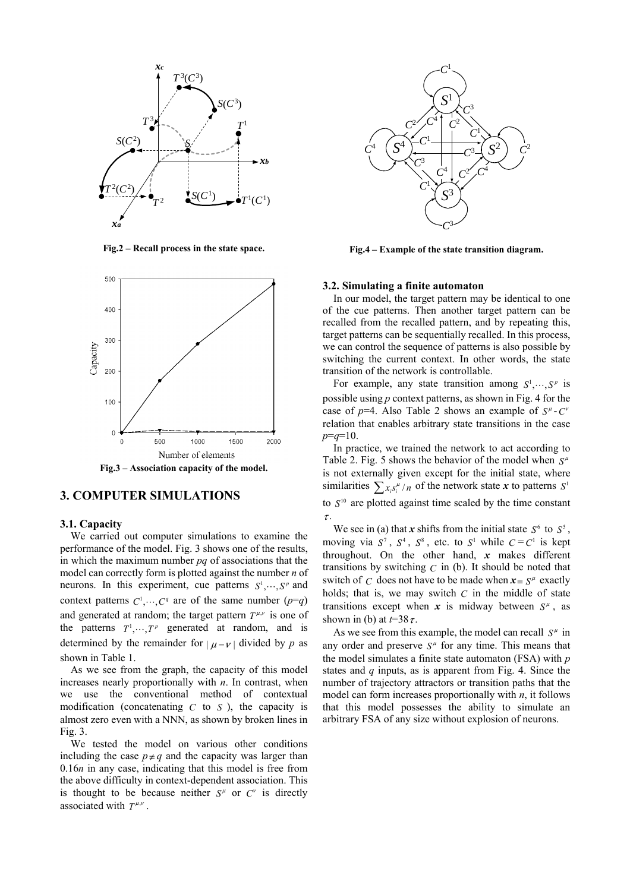

**Fig.2 – Recall process in the state space.** 



**Fig.3 – Association capacity of the model.** 

# **3. COMPUTER SIMULATIONS**

## **3.1. Capacity**

We carried out computer simulations to examine the performance of the model. Fig. 3 shows one of the results, in which the maximum number *pq* of associations that the model can correctly form is plotted against the number *n* of neurons. In this experiment, cue patterns  $S^1, \dots, S^p$  and context patterns  $C^1, \dots, C^q$  are of the same number  $(p=q)$ and generated at random; the target pattern  $T^{\mu,\nu}$  is one of the patterns  $T^1, \dots, T^p$  generated at random, and is determined by the remainder for  $|\mu - \nu|$  divided by p as shown in Table 1.

As we see from the graph, the capacity of this model increases nearly proportionally with *n*. In contrast, when we use the conventional method of contextual modification (concatenating  $C$  to  $S$ ), the capacity is almost zero even with a NNN, as shown by broken lines in Fig. 3.

We tested the model on various other conditions including the case  $p \neq q$  and the capacity was larger than 0.16*n* in any case, indicating that this model is free from the above difficulty in context-dependent association. This is thought to be because neither  $S^{\mu}$  or  $C^{\nu}$  is directly associated with  $T^{\mu,\nu}$ .



**Fig.4 – Example of the state transition diagram.**

# **3.2. Simulating a finite automaton**

In our model, the target pattern may be identical to one of the cue patterns. Then another target pattern can be recalled from the recalled pattern, and by repeating this, target patterns can be sequentially recalled. In this process, we can control the sequence of patterns is also possible by switching the current context. In other words, the state transition of the network is controllable.

For example, any state transition among  $S^1, \dots, S^p$  is possible using *p* context patterns, as shown in Fig. 4 for the case of  $p=4$ . Also Table 2 shows an example of  $S^{\mu}$ - $C^{\nu}$ relation that enables arbitrary state transitions in the case *p*=*q*=10.

 In practice, we trained the network to act according to Table 2. Fig. 5 shows the behavior of the model when  $S^{\mu}$ is not externally given except for the initial state, where similarities  $\sum_{x_i s_i^{\mu}} / n$  of the network state *x* to patterns  $S^1$ to  $S<sup>10</sup>$  are plotted against time scaled by the time constant <sup>τ</sup> .

We see in (a) that *x* shifts from the initial state  $S^6$  to  $S^5$ , moving via  $S^7$ ,  $S^4$ ,  $S^8$ , etc. to  $S^1$  while  $C = C^1$  is kept throughout. On the other hand, *x* makes different transitions by switching *C* in (b). It should be noted that switch of C does not have to be made when  $x = S^{\mu}$  exactly holds; that is, we may switch  $C$  in the middle of state transitions except when  $x$  is midway between  $S<sup>\mu</sup>$ , as shown in (b) at  $t=38 \tau$ .

As we see from this example, the model can recall  $S^{\mu}$  in any order and preserve  $S<sup>\mu</sup>$  for any time. This means that the model simulates a finite state automaton (FSA) with *p* states and *q* inputs, as is apparent from Fig. 4. Since the number of trajectory attractors or transition paths that the model can form increases proportionally with *n*, it follows that this model possesses the ability to simulate an arbitrary FSA of any size without explosion of neurons.